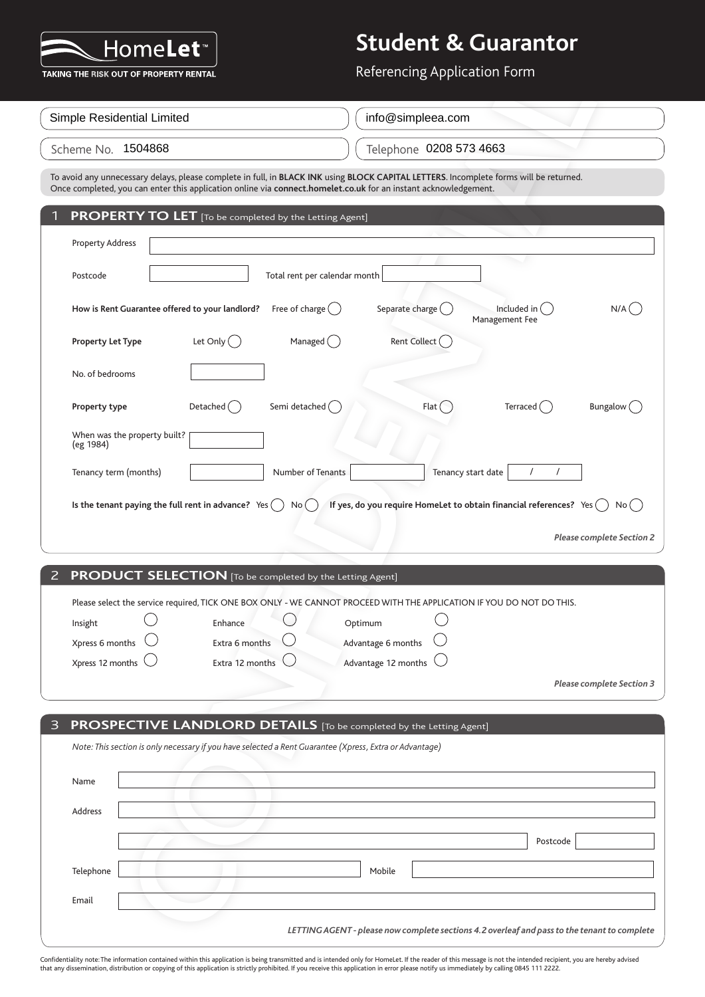

| Simple Residential Limited                                                                                                             | info@simpleea.com       |
|----------------------------------------------------------------------------------------------------------------------------------------|-------------------------|
| Scheme No. 1504868                                                                                                                     | Telephone 0208 573 4663 |
| To gradd and concern and also a share concelate in full in BLACK INIX adopt DLOCK CABITAL LETTERS In concelate former will be returned |                         |

| TAKING THE RISK OUT OF PROPERTY RENTAL                                                                                                                                                                                                                    | Referencing Application Form                                                                 |
|-----------------------------------------------------------------------------------------------------------------------------------------------------------------------------------------------------------------------------------------------------------|----------------------------------------------------------------------------------------------|
| Simple Residential Limited                                                                                                                                                                                                                                | info@simpleea.com                                                                            |
| Scheme No. 1504868                                                                                                                                                                                                                                        | Telephone 0208 573 4663                                                                      |
| To avoid any unnecessary delays, please complete in full, in BLACK INK using BLOCK CAPITAL LETTERS. Incomplete forms will be returned.<br>Once completed, you can enter this application online via connect.homelet.co.uk for an instant acknowledgement. |                                                                                              |
| <b>PROPERTY TO LET</b> [To be completed by the Letting Agent]                                                                                                                                                                                             |                                                                                              |
| <b>Property Address</b>                                                                                                                                                                                                                                   |                                                                                              |
| Total rent per calendar month<br>Postcode                                                                                                                                                                                                                 |                                                                                              |
| Free of charge $($ )<br>How is Rent Guarantee offered to your landlord?                                                                                                                                                                                   | Separate charge (<br>Included in (<br>$N/A$ (<br>Management Fee                              |
| Let Only $( )$<br>Managed $\begin{pmatrix} \end{pmatrix}$<br><b>Property Let Type</b>                                                                                                                                                                     | Rent Collect (                                                                               |
| No. of bedrooms                                                                                                                                                                                                                                           |                                                                                              |
| Semi detached (<br>Detached $\bigcirc$<br>Property type                                                                                                                                                                                                   | Flat<br>Terraced $($ )<br>Bungalow (                                                         |
| When was the property built?<br>(eg 1984)                                                                                                                                                                                                                 |                                                                                              |
| Tenancy term (months)<br>Number of Tenants                                                                                                                                                                                                                | Tenancy start date                                                                           |
| Is the tenant paying the full rent in advance? Yes<br>No (                                                                                                                                                                                                | If yes, do you require HomeLet to obtain financial references? Yes $( )$<br>No( )            |
|                                                                                                                                                                                                                                                           | <b>Please complete Section 2</b>                                                             |
|                                                                                                                                                                                                                                                           |                                                                                              |
| PRODUCT SELECTION [To be completed by the Letting Agent]<br>2                                                                                                                                                                                             |                                                                                              |
| Please select the service required, TICK ONE BOX ONLY - WE CANNOT PROCEED WITH THE APPLICATION IF YOU DO NOT DO THIS.                                                                                                                                     |                                                                                              |
| Insight<br>Enhance                                                                                                                                                                                                                                        | Optimum                                                                                      |
| Xpress 6 months<br>Extra 6 months                                                                                                                                                                                                                         | Advantage 6 months                                                                           |
| Xpress 12 months<br>Extra 12 months                                                                                                                                                                                                                       | Advantage 12 months                                                                          |
|                                                                                                                                                                                                                                                           | <b>Please complete Section 3</b>                                                             |
|                                                                                                                                                                                                                                                           |                                                                                              |
| PROSPECTIVE LANDLORD DETAILS [To be completed by the Letting Agent]<br>3                                                                                                                                                                                  |                                                                                              |
| Note: This section is only necessary if you have selected a Rent Guarantee (Xpress, Extra or Advantage)                                                                                                                                                   |                                                                                              |
| Name                                                                                                                                                                                                                                                      |                                                                                              |
|                                                                                                                                                                                                                                                           |                                                                                              |
| Address                                                                                                                                                                                                                                                   |                                                                                              |
|                                                                                                                                                                                                                                                           | Postcode                                                                                     |
| Telephone                                                                                                                                                                                                                                                 | Mobile                                                                                       |
| Email                                                                                                                                                                                                                                                     |                                                                                              |
|                                                                                                                                                                                                                                                           | LETTING AGENT - please now complete sections 4.2 overleaf and pass to the tenant to complete |

|  | 2 PRODUCT SELECTION [To be completed by the Letting Agent] |
|--|------------------------------------------------------------|
|--|------------------------------------------------------------|

|         |                             |                         | Please select the service required, TICK ONE BOX ONLY - WE CANNOT PROCEED WITH THE APPLICATION IF YOU DO NOT DO THIS. |           |
|---------|-----------------------------|-------------------------|-----------------------------------------------------------------------------------------------------------------------|-----------|
| Insight |                             | Enhance                 | Optimum                                                                                                               |           |
|         | Xpress 6 months $\bigcirc$  | Extra 6 months          | Advantage 6 months $\bigcirc$                                                                                         |           |
|         | Xpress 12 months $\bigcirc$ | Extra 12 months $\big($ | Advantage 12 months $\bigcirc$                                                                                        |           |
|         |                             |                         |                                                                                                                       | $-1$<br>. |

| 3 <sup>1</sup> | <b>PROSPECTIVE LANDLORD DETAILS</b> [To be completed by the Letting Agent]                              |                                                                                              |
|----------------|---------------------------------------------------------------------------------------------------------|----------------------------------------------------------------------------------------------|
|                | Note: This section is only necessary if you have selected a Rent Guarantee (Xpress, Extra or Advantage) |                                                                                              |
| Name           |                                                                                                         |                                                                                              |
| Address        |                                                                                                         |                                                                                              |
|                |                                                                                                         | Postcode                                                                                     |
| Telephone      | Mobile                                                                                                  |                                                                                              |
| Email          |                                                                                                         |                                                                                              |
|                |                                                                                                         | LETTING AGENT - please now complete sections 4.2 overleaf and pass to the tenant to complete |

Confidentiality note: The information contained within this application is being transmitted and is intended only for HomeLet. If the reader of this message is not the intended recipient, you are hereby advised<br>that any di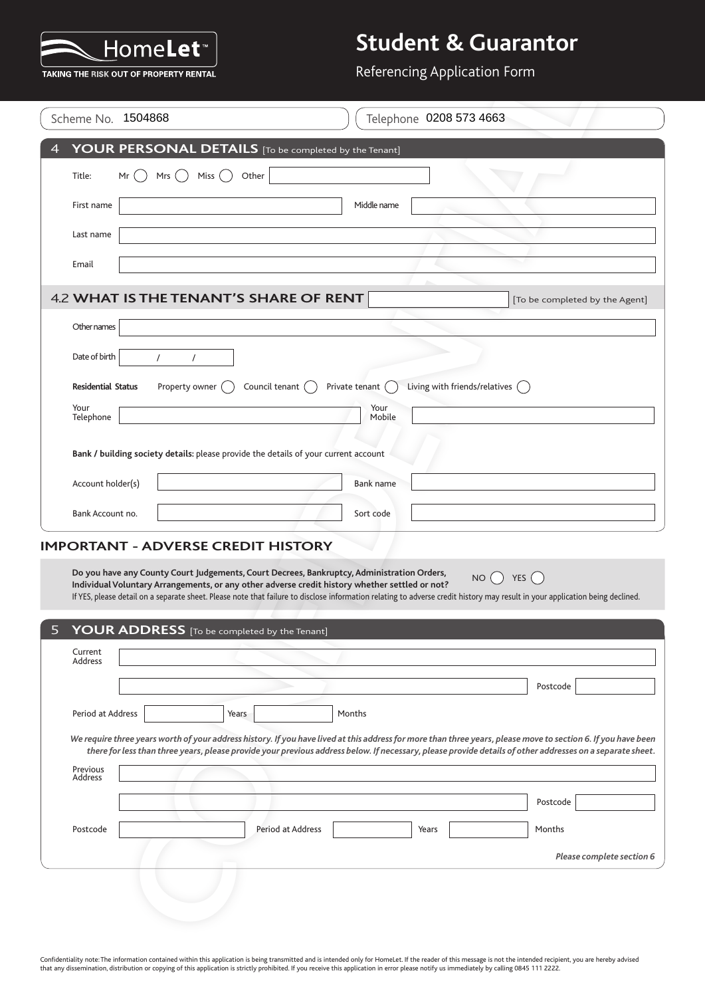

#### Referencing Application Form

| Scheme No. 1504868        |                                                                                                                                                                                              |                          |                      | Telephone 0208 573 4663                 |                                                                                                                                                                                                                                                                                                                            |  |
|---------------------------|----------------------------------------------------------------------------------------------------------------------------------------------------------------------------------------------|--------------------------|----------------------|-----------------------------------------|----------------------------------------------------------------------------------------------------------------------------------------------------------------------------------------------------------------------------------------------------------------------------------------------------------------------------|--|
|                           | YOUR PERSONAL DETAILS [To be completed by the Tenant]                                                                                                                                        |                          |                      |                                         |                                                                                                                                                                                                                                                                                                                            |  |
| Title:<br>Mr              | Miss $( )$<br>Mrs $($ )                                                                                                                                                                      | Other                    |                      |                                         |                                                                                                                                                                                                                                                                                                                            |  |
| First name                |                                                                                                                                                                                              |                          | Middle name          |                                         |                                                                                                                                                                                                                                                                                                                            |  |
| Last name                 |                                                                                                                                                                                              |                          |                      |                                         |                                                                                                                                                                                                                                                                                                                            |  |
| Email                     |                                                                                                                                                                                              |                          |                      |                                         |                                                                                                                                                                                                                                                                                                                            |  |
|                           | <b>4.2 WHAT IS THE TENANT'S SHARE OF RENT</b>                                                                                                                                                |                          |                      |                                         | [To be completed by the Agent]                                                                                                                                                                                                                                                                                             |  |
| Other names               |                                                                                                                                                                                              |                          |                      |                                         |                                                                                                                                                                                                                                                                                                                            |  |
| Date of birth             | $\prime$<br>$\prime$                                                                                                                                                                         |                          |                      |                                         |                                                                                                                                                                                                                                                                                                                            |  |
| <b>Residential Status</b> | Property owner ()                                                                                                                                                                            | Council tenant $\bigcap$ | Private tenant $( )$ | Living with friends/relatives $\bigcap$ |                                                                                                                                                                                                                                                                                                                            |  |
| Your<br>Telephone         |                                                                                                                                                                                              |                          | Your<br>Mobile       |                                         |                                                                                                                                                                                                                                                                                                                            |  |
|                           | Bank / building society details: please provide the details of your current account                                                                                                          |                          |                      |                                         |                                                                                                                                                                                                                                                                                                                            |  |
|                           |                                                                                                                                                                                              |                          |                      |                                         |                                                                                                                                                                                                                                                                                                                            |  |
| Account holder(s)         |                                                                                                                                                                                              |                          | Bank name            |                                         |                                                                                                                                                                                                                                                                                                                            |  |
| Bank Account no.          |                                                                                                                                                                                              |                          | Sort code            |                                         |                                                                                                                                                                                                                                                                                                                            |  |
|                           | <b>IMPORTANT - ADVERSE CREDIT HISTORY</b>                                                                                                                                                    |                          |                      |                                         |                                                                                                                                                                                                                                                                                                                            |  |
|                           | Do you have any County Court Judgements, Court Decrees, Bankruptcy, Administration Orders,<br>Individual Voluntary Arrangements, or any other adverse credit history whether settled or not? |                          |                      | NO                                      | YES $( )$                                                                                                                                                                                                                                                                                                                  |  |
|                           |                                                                                                                                                                                              |                          |                      |                                         | If YES, please detail on a separate sheet. Please note that failure to disclose information relating to adverse credit history may result in your application being declined.                                                                                                                                              |  |
|                           | <b>YOUR ADDRESS</b> [To be completed by the Tenant]                                                                                                                                          |                          |                      |                                         |                                                                                                                                                                                                                                                                                                                            |  |
| Current<br>Address        |                                                                                                                                                                                              |                          |                      |                                         |                                                                                                                                                                                                                                                                                                                            |  |
|                           |                                                                                                                                                                                              |                          |                      |                                         | Postcode                                                                                                                                                                                                                                                                                                                   |  |
| Period at Address         | Years                                                                                                                                                                                        |                          | Months               |                                         |                                                                                                                                                                                                                                                                                                                            |  |
|                           |                                                                                                                                                                                              |                          |                      |                                         | We require three years worth of your address history. If you have lived at this address for more than three years, please move to section 6. If you have been<br>there for less than three years, please provide your previous address below. If necessary, please provide details of other addresses on a separate sheet. |  |
| Previous<br>Address       |                                                                                                                                                                                              |                          |                      |                                         |                                                                                                                                                                                                                                                                                                                            |  |
|                           |                                                                                                                                                                                              |                          |                      |                                         | Postcode                                                                                                                                                                                                                                                                                                                   |  |
| Postcode                  |                                                                                                                                                                                              | Period at Address        |                      | Years                                   | Months                                                                                                                                                                                                                                                                                                                     |  |
|                           |                                                                                                                                                                                              |                          |                      |                                         | Please complete section 6                                                                                                                                                                                                                                                                                                  |  |
|                           |                                                                                                                                                                                              |                          |                      |                                         |                                                                                                                                                                                                                                                                                                                            |  |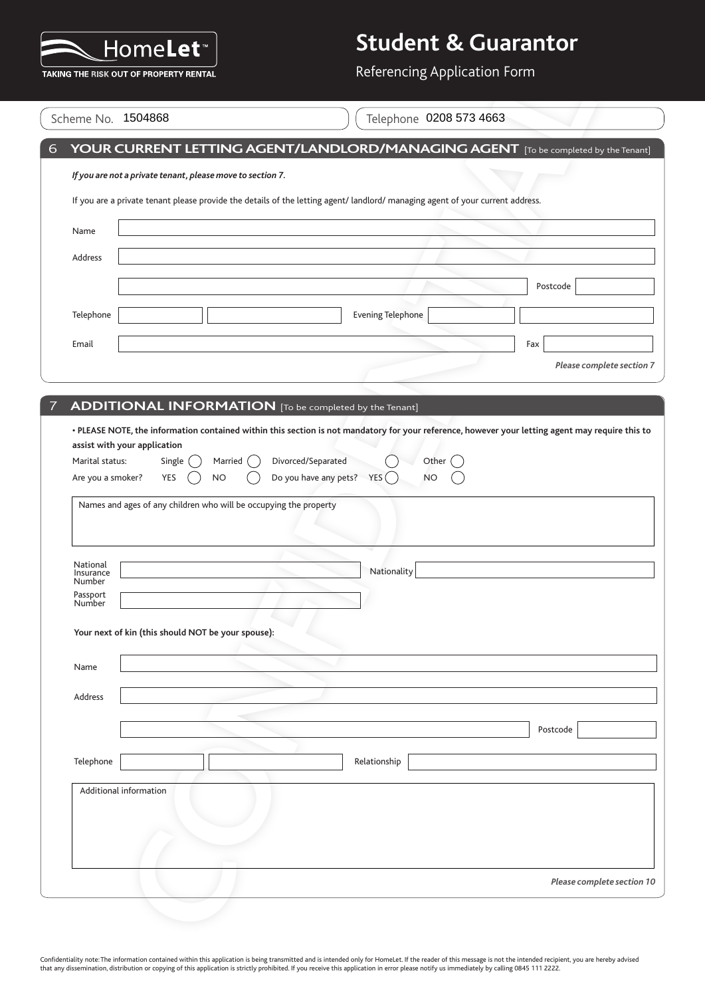

Referencing Application Form

|                                 | Scheme No. 1504868                                                                    | Telephone 0208 573 4663                                                                                                        |
|---------------------------------|---------------------------------------------------------------------------------------|--------------------------------------------------------------------------------------------------------------------------------|
|                                 |                                                                                       | YOUR CURRENT LETTING AGENT/LANDLORD/MANAGING AGENT [To be completed by the Tenant]                                             |
|                                 | If you are not a private tenant, please move to section 7.                            |                                                                                                                                |
|                                 |                                                                                       | If you are a private tenant please provide the details of the letting agent/ landlord/ managing agent of your current address. |
| Name                            |                                                                                       |                                                                                                                                |
| Address                         |                                                                                       |                                                                                                                                |
|                                 |                                                                                       | Postcode                                                                                                                       |
| Telephone                       |                                                                                       | <b>Evening Telephone</b>                                                                                                       |
| Email                           |                                                                                       | Fax                                                                                                                            |
|                                 |                                                                                       | Please complete section 7                                                                                                      |
|                                 | ADDITIONAL INFORMATION [To be completed by the Tenant]                                |                                                                                                                                |
| Are you a smoker?               | YES<br><b>NO</b><br>Names and ages of any children who will be occupying the property | Do you have any pets? $YES$<br><b>NO</b>                                                                                       |
|                                 |                                                                                       |                                                                                                                                |
| National<br>Insurance<br>Number |                                                                                       | Nationality                                                                                                                    |
| Passport<br>Number              |                                                                                       |                                                                                                                                |
|                                 | Your next of kin (this should NOT be your spouse):                                    |                                                                                                                                |
|                                 |                                                                                       |                                                                                                                                |
| Name                            |                                                                                       |                                                                                                                                |
| Address                         |                                                                                       |                                                                                                                                |
|                                 |                                                                                       | Postcode                                                                                                                       |
| Telephone                       |                                                                                       | Relationship                                                                                                                   |
|                                 | Additional information                                                                |                                                                                                                                |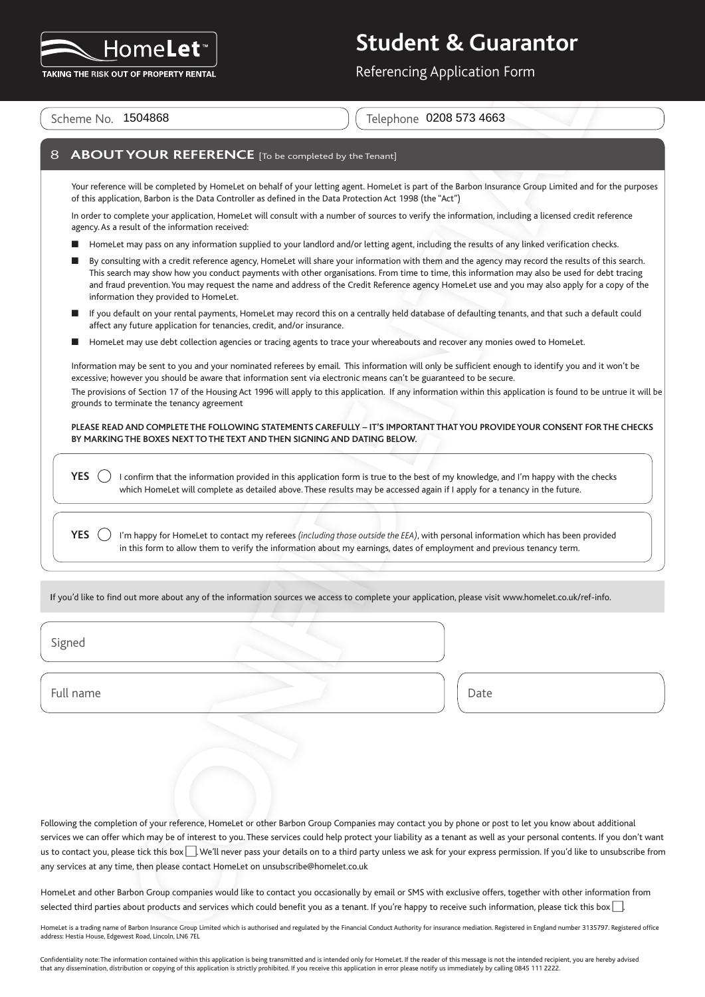

Referencing Application Form

Scheme No. 1504868

Telephone 0208 573 4663

#### **8 ABOUT YOUR REFERENCE** [To be completed by the Tenant]

Your reference will be completed by HomeLet on behalf of your letting agent. HomeLet is part of the Barbon Insurance Group Limited and for the purposes of this application, Barbon is the Data Controller as defined in the Data Protection Act 1998 (the "Act")

In order to complete your application, HomeLet will consult with a number of sources to verify the information, including a licensed credit reference agency. As a result of the information received:

- HomeLet may pass on any information supplied to your landlord and/or letting agent, including the results of any linked verification checks.
- n By consulting with a credit reference agency, HomeLet will share your information with them and the agency may record the results of this search. This search may show how you conduct payments with other organisations. From time to time, this information may also be used for debt tracing and fraud prevention. You may request the name and address of the Credit Reference agency HomeLet use and you may also apply for a copy of the information they provided to HomeLet.
- n If you default on your rental payments, HomeLet may record this on a centrally held database of defaulting tenants, and that such a default could affect any future application for tenancies, credit, and/or insurance.
- HomeLet may use debt collection agencies or tracing agents to trace your whereabouts and recover any monies owed to HomeLet.

Information may be sent to you and your nominated referees by email. This information will only be sufficient enough to identify you and it won't be excessive; however you should be aware that information sent via electronic means can't be guaranteed to be secure. The provisions of Section 17 of the Housing Act 1996 will apply to this application. If any information within this application is found to be untrue it will be grounds to terminate the tenancy agreement

**PLEASE READ AND COMPLETE THE FOLLOWING STATEMENTS CAREFULLY – IT'S IMPORTANT THAT YOU PROVIDE YOUR CONSENT FOR THE CHECKS BY MARKING THE BOXES NEXT TO THE TEXT AND THEN SIGNING AND DATING BELOW.**

**YES**  $\bigcirc$  I confirm that the information provided in this application form is true to the best of my knowledge, and I'm happy with the checks which HomeLet will complete as detailed above. These results may be accessed again if I apply for a tenancy in the future.

**YES**  $\binom{1}{2}$  I'm happy for HomeLet to contact my referees *(including those outside the EEA)*, with personal information which has been provided in this form to allow them to verify the information about my earnings, dates of employment and previous tenancy term.

**I**f you'd like to find out more about any of the information sources we access to complete your application, please visit www.homelet.co.uk/ref-info.

Signed

Full name Date

For a more transfer of the control of the second of the second of the second of the second of the second of the second of the second of the second of the second of the second of the second of the second of the second of th Following the completion of your reference, HomeLet or other Barbon Group Companies may contact you by phone or post to let you know about additional services we can offer which may be of interest to you. These services could help protect your liability as a tenant as well as your personal contents. If you don't want us to contact you, please tick this box  $\Box$ . We'll never pass your details on to a third party unless we ask for your express permission. If you'd like to unsubscribe from any services at any time, then please contact HomeLet on unsubscribe@homelet.co.uk

HomeLet and other Barbon Group companies would like to contact you occasionally by email or SMS with exclusive offers, together with other information from selected third parties about products and services which could benefit you as a tenant. If you're happy to receive such information, please tick this box ...

HomeLet is a trading name of Barbon Insurance Group Limited which is authorised and regulated by the Financial Conduct Authority for insurance mediation. Registered in England number 3135797. Registered office address: Hestia House, Edgewest Road, Lincoln, LN6 7EL

Confidentiality note: The information contained within this application is being transmitted and is intended only for HomeLet. If the reader of this message is not the intended recipient, you are hereby advised that any dissemination, distribution or copying of this application is strictly prohibited. If you receive this application in error please notify us immediately by calling 0845 111 2222.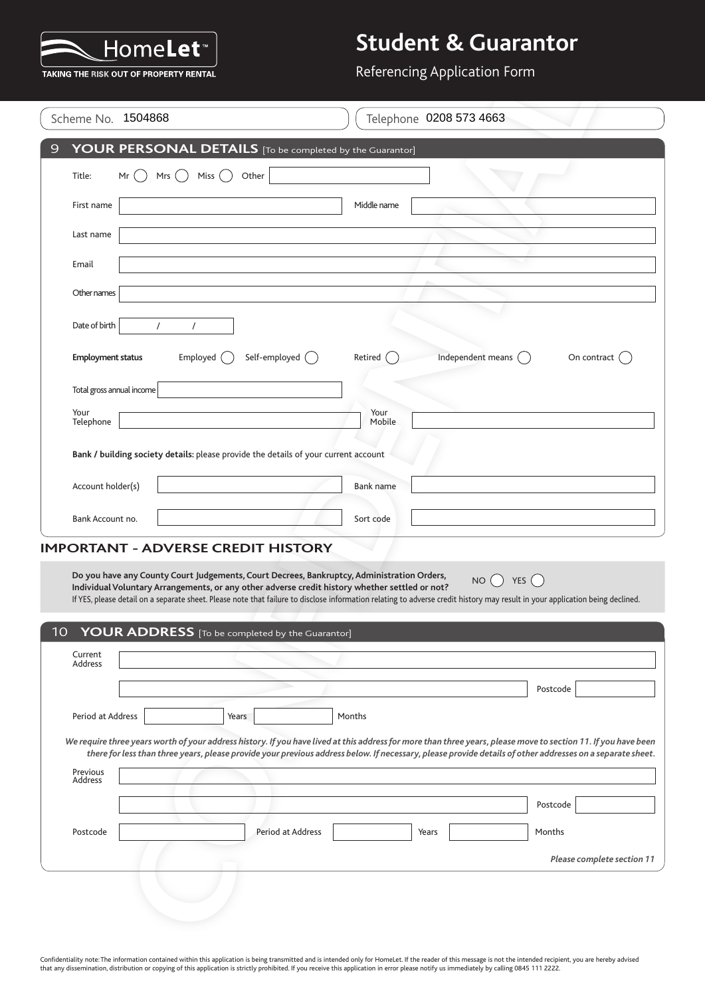

#### Referencing Application Form

|                           | Scheme No. 1504868                                                                                                                                                                                                                                                                                                          |                   |                  | Telephone 0208 573 4663      |                            |
|---------------------------|-----------------------------------------------------------------------------------------------------------------------------------------------------------------------------------------------------------------------------------------------------------------------------------------------------------------------------|-------------------|------------------|------------------------------|----------------------------|
|                           | YOUR PERSONAL DETAILS [To be completed by the Guarantor]                                                                                                                                                                                                                                                                    |                   |                  |                              |                            |
| Title:                    | Mrs $($ )<br>Miss<br>Mr                                                                                                                                                                                                                                                                                                     | Other             |                  |                              |                            |
| First name                |                                                                                                                                                                                                                                                                                                                             |                   | Middle name      |                              |                            |
| Last name                 |                                                                                                                                                                                                                                                                                                                             |                   |                  |                              |                            |
| Email                     |                                                                                                                                                                                                                                                                                                                             |                   |                  |                              |                            |
| Other names               |                                                                                                                                                                                                                                                                                                                             |                   |                  |                              |                            |
| Date of birth             | $\prime$<br>$\prime$                                                                                                                                                                                                                                                                                                        |                   |                  |                              |                            |
| <b>Employment status</b>  | Employed (                                                                                                                                                                                                                                                                                                                  | Self-employed ()  | Retired          | Independent means $\bigcirc$ | On contract $($            |
| Total gross annual income |                                                                                                                                                                                                                                                                                                                             |                   |                  |                              |                            |
| Your<br>Telephone         |                                                                                                                                                                                                                                                                                                                             |                   | Your<br>Mobile   |                              |                            |
|                           | Bank / building society details: please provide the details of your current account                                                                                                                                                                                                                                         |                   |                  |                              |                            |
|                           |                                                                                                                                                                                                                                                                                                                             |                   |                  |                              |                            |
| Account holder(s)         |                                                                                                                                                                                                                                                                                                                             |                   | <b>Bank name</b> |                              |                            |
| Bank Account no.          |                                                                                                                                                                                                                                                                                                                             |                   | Sort code        |                              |                            |
|                           | <b>IMPORTANT - ADVERSE CREDIT HISTORY</b>                                                                                                                                                                                                                                                                                   |                   |                  |                              |                            |
|                           | Do you have any County Court Judgements, Court Decrees, Bankruptcy, Administration Orders,<br>Individual Voluntary Arrangements, or any other adverse credit history whether settled or not?                                                                                                                                |                   |                  | NO()                         | YES $($                    |
|                           | If YES, please detail on a separate sheet. Please note that failure to disclose information relating to adverse credit history may result in your application being declined.                                                                                                                                               |                   |                  |                              |                            |
|                           |                                                                                                                                                                                                                                                                                                                             |                   |                  |                              |                            |
|                           | YOUR ADDRESS [To be completed by the Guarantor]                                                                                                                                                                                                                                                                             |                   |                  |                              |                            |
| Current<br>Address        |                                                                                                                                                                                                                                                                                                                             |                   |                  |                              |                            |
|                           |                                                                                                                                                                                                                                                                                                                             |                   |                  |                              | Postcode                   |
| 10<br>Period at Address   |                                                                                                                                                                                                                                                                                                                             | Years             | Months           |                              |                            |
|                           | We require three years worth of your address history. If you have lived at this address for more than three years, please move to section 11. If you have been<br>there for less than three years, please provide your previous address below. If necessary, please provide details of other addresses on a separate sheet. |                   |                  |                              |                            |
| Previous<br>Address       |                                                                                                                                                                                                                                                                                                                             |                   |                  |                              |                            |
|                           |                                                                                                                                                                                                                                                                                                                             |                   |                  |                              | Postcode                   |
| Postcode                  |                                                                                                                                                                                                                                                                                                                             | Period at Address |                  | Years                        | Months                     |
|                           |                                                                                                                                                                                                                                                                                                                             |                   |                  |                              | Please complete section 11 |

| Current<br>Address<br>Postcode<br>Period at Address<br>Months<br>Years<br>We require three years worth of your address history. If you have lived at this address for more than three years, please move to section 11. If you have been<br>there for less than three years, please provide your previous address below. If necessary, please provide details of other addresses on a separate sheet.<br>Previous<br>Address<br>Postcode<br>Postcode<br>Period at Address<br>Months<br>Years | 10 YOUR ADDRESS [To be completed by the Guarantor] |                            |
|----------------------------------------------------------------------------------------------------------------------------------------------------------------------------------------------------------------------------------------------------------------------------------------------------------------------------------------------------------------------------------------------------------------------------------------------------------------------------------------------|----------------------------------------------------|----------------------------|
|                                                                                                                                                                                                                                                                                                                                                                                                                                                                                              |                                                    |                            |
|                                                                                                                                                                                                                                                                                                                                                                                                                                                                                              |                                                    |                            |
|                                                                                                                                                                                                                                                                                                                                                                                                                                                                                              |                                                    |                            |
|                                                                                                                                                                                                                                                                                                                                                                                                                                                                                              |                                                    |                            |
|                                                                                                                                                                                                                                                                                                                                                                                                                                                                                              |                                                    |                            |
|                                                                                                                                                                                                                                                                                                                                                                                                                                                                                              |                                                    |                            |
|                                                                                                                                                                                                                                                                                                                                                                                                                                                                                              |                                                    |                            |
|                                                                                                                                                                                                                                                                                                                                                                                                                                                                                              |                                                    | Please complete section 11 |
|                                                                                                                                                                                                                                                                                                                                                                                                                                                                                              |                                                    |                            |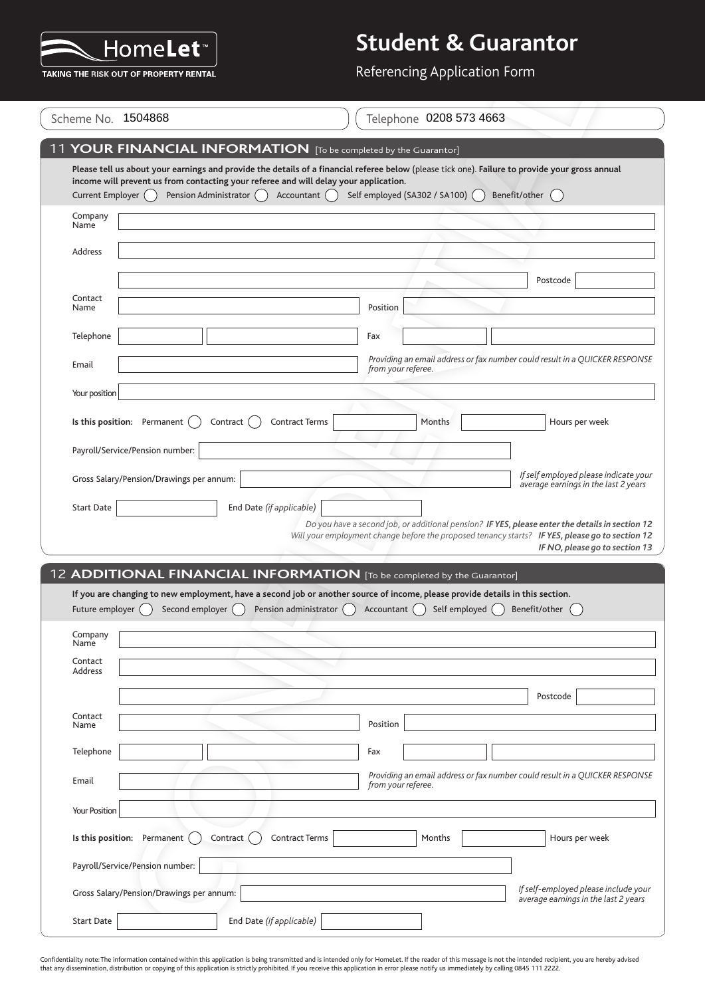

Referencing Application Form

|                      | Scheme No. 1504868                       |                                                                                                      | Telephone 0208 573 4663                                                                                                                                                                                                                             |                                                                               |
|----------------------|------------------------------------------|------------------------------------------------------------------------------------------------------|-----------------------------------------------------------------------------------------------------------------------------------------------------------------------------------------------------------------------------------------------------|-------------------------------------------------------------------------------|
|                      |                                          |                                                                                                      | 11 YOUR FINANCIAL INFORMATION [To be completed by the Guarantor]                                                                                                                                                                                    |                                                                               |
| Current Employer ()  | Pension Administrator                    | income will prevent us from contacting your referee and will delay your application.<br>Accountant ( | Please tell us about your earnings and provide the details of a financial referee below (please tick one). Failure to provide your gross annual<br>Self employed (SA302 / SA100) (                                                                  | Benefit/other                                                                 |
| Company<br>Name      |                                          |                                                                                                      |                                                                                                                                                                                                                                                     |                                                                               |
| Address              |                                          |                                                                                                      |                                                                                                                                                                                                                                                     |                                                                               |
|                      |                                          |                                                                                                      |                                                                                                                                                                                                                                                     | Postcode                                                                      |
| Contact<br>Name      |                                          |                                                                                                      | Position                                                                                                                                                                                                                                            |                                                                               |
| Telephone            |                                          |                                                                                                      | Fax                                                                                                                                                                                                                                                 |                                                                               |
| Email                |                                          |                                                                                                      | Providing an email address or fax number could result in a QUICKER RESPONSE<br>from your referee.                                                                                                                                                   |                                                                               |
| Your position        |                                          |                                                                                                      |                                                                                                                                                                                                                                                     |                                                                               |
|                      | Is this position: Permanent              | Contract (<br><b>Contract Terms</b>                                                                  | Months                                                                                                                                                                                                                                              | Hours per week                                                                |
|                      | Payroll/Service/Pension number:          |                                                                                                      |                                                                                                                                                                                                                                                     |                                                                               |
|                      | Gross Salary/Pension/Drawings per annum: |                                                                                                      |                                                                                                                                                                                                                                                     | If self employed please indicate your<br>average earnings in the last 2 years |
| <b>Start Date</b>    |                                          | End Date (if applicable)                                                                             |                                                                                                                                                                                                                                                     |                                                                               |
|                      |                                          |                                                                                                      | Do you have a second job, or additional pension? IF YES, please enter the details in section 12                                                                                                                                                     |                                                                               |
|                      |                                          |                                                                                                      | Will your employment change before the proposed tenancy starts? IF YES, please go to section 12                                                                                                                                                     |                                                                               |
|                      |                                          |                                                                                                      |                                                                                                                                                                                                                                                     |                                                                               |
| Future employer ()   | Second employer ()                       | Pension administrator $\bigcap$                                                                      | 12 ADDITIONAL FINANCIAL INFORMATION [To be completed by the Guarantor]<br>If you are changing to new employment, have a second job or another source of income. please provide details in this section.<br>Accountant $\bigcap$<br>Self employed () | Benefit/other                                                                 |
| Company<br>Name      |                                          |                                                                                                      |                                                                                                                                                                                                                                                     |                                                                               |
| Contact<br>Address   |                                          |                                                                                                      |                                                                                                                                                                                                                                                     |                                                                               |
|                      |                                          |                                                                                                      |                                                                                                                                                                                                                                                     | Postcode                                                                      |
| Contact<br>Name      |                                          |                                                                                                      | Position                                                                                                                                                                                                                                            |                                                                               |
| Telephone            |                                          |                                                                                                      | Fax                                                                                                                                                                                                                                                 |                                                                               |
| Email                |                                          |                                                                                                      | Providing an email address or fax number could result in a QUICKER RESPONSE                                                                                                                                                                         |                                                                               |
| <b>Your Position</b> |                                          |                                                                                                      | from your referee.                                                                                                                                                                                                                                  | IF NO, please go to section 13                                                |
|                      | Is this position: Permanent              | <b>Contract Terms</b><br>Contract (                                                                  | Months                                                                                                                                                                                                                                              | Hours per week                                                                |
|                      | Payroll/Service/Pension number:          |                                                                                                      |                                                                                                                                                                                                                                                     |                                                                               |
|                      | Gross Salary/Pension/Drawings per annum: |                                                                                                      |                                                                                                                                                                                                                                                     | If self-employed please include your<br>average earnings in the last 2 years  |

Confidentiality note: The information contained within this application is being transmitted and is intended only for HomeLet. If the reader of this message is not the intended recipient, you are hereby advised<br>that any di